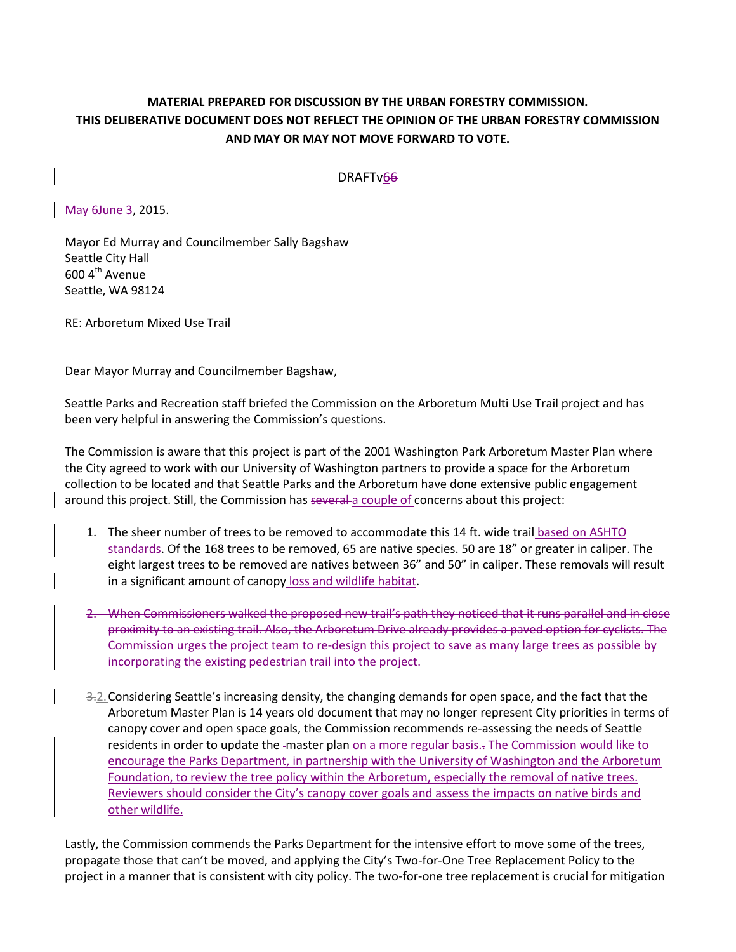## **MATERIAL PREPARED FOR DISCUSSION BY THE URBAN FORESTRY COMMISSION. THIS DELIBERATIVE DOCUMENT DOES NOT REFLECT THE OPINION OF THE URBAN FORESTRY COMMISSION AND MAY OR MAY NOT MOVE FORWARD TO VOTE.**

DRAFTv66

May 6June 3, 2015.

Mayor Ed Murray and Councilmember Sally Bagshaw Seattle City Hall 600 4<sup>th</sup> Avenue Seattle, WA 98124

RE: Arboretum Mixed Use Trail

Dear Mayor Murray and Councilmember Bagshaw,

Seattle Parks and Recreation staff briefed the Commission on the Arboretum Multi Use Trail project and has been very helpful in answering the Commission's questions.

The Commission is aware that this project is part of the 2001 Washington Park Arboretum Master Plan where the City agreed to work with our University of Washington partners to provide a space for the Arboretum collection to be located and that Seattle Parks and the Arboretum have done extensive public engagement around this project. Still, the Commission has several a couple of concerns about this project:

- 1. The sheer number of trees to be removed to accommodate this 14 ft. wide trail based on ASHTO standards. Of the 168 trees to be removed, 65 are native species. 50 are 18" or greater in caliper. The eight largest trees to be removed are natives between 36" and 50" in caliper. These removals will result in a significant amount of canopy loss and wildlife habitat.
- 2. When Commissioners walked the proposed new trail's path they noticed that it runs parallel and in close proximity to an existing trail. Also, the Arboretum Drive already provides a paved option for cyclists. The Commission urges the project team to re-design this project to save as many large trees as possible by incorporating the existing pedestrian trail into the project.
- 3.2. Considering Seattle's increasing density, the changing demands for open space, and the fact that the Arboretum Master Plan is 14 years old document that may no longer represent City priorities in terms of canopy cover and open space goals, the Commission recommends re-assessing the needs of Seattle residents in order to update the -master plan on a more regular basis... The Commission would like to encourage the Parks Department, in partnership with the University of Washington and the Arboretum Foundation, to review the tree policy within the Arboretum, especially the removal of native trees. Reviewers should consider the City's canopy cover goals and assess the impacts on native birds and other wildlife.

Lastly, the Commission commends the Parks Department for the intensive effort to move some of the trees, propagate those that can't be moved, and applying the City's Two-for-One Tree Replacement Policy to the project in a manner that is consistent with city policy. The two-for-one tree replacement is crucial for mitigation